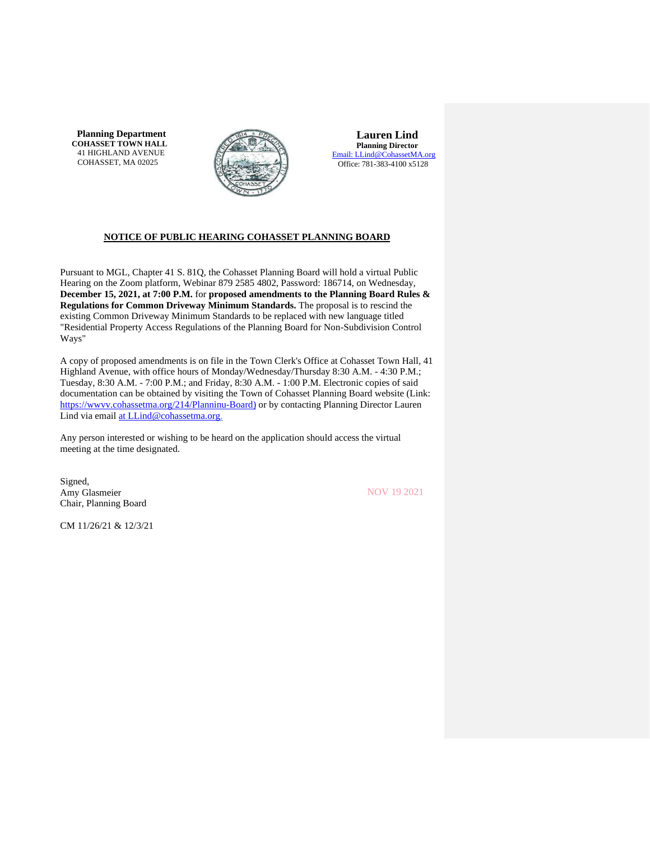**Planning Department COHASSET TOWN HALL** 41 HIGHLAND AVENUE COHASSET, MA 02025



**Lauren Lind Planning Director** [Email: LLind@CohassetMA.org](mailto:LLind@CohassetMA.org) Office: 781-383-4100 x5128

# **NOTICE OF PUBLIC HEARING COHASSET PLANNING BOARD**

Pursuant to MGL, Chapter 41 S. 81Q, the Cohasset Planning Board will hold a virtual Public Hearing on the Zoom platform, Webinar 879 2585 4802, Password: 186714, on Wednesday, **December 15, 2021, at 7:00 P.M.** for **proposed amendments to the Planning Board Rules & Regulations for Common Driveway Minimum Standards.** The proposal is to rescind the existing Common Driveway Minimum Standards to be replaced with new language titled "Residential Property Access Regulations of the Planning Board for Non-Subdivision Control Ways"

A copy of proposed amendments is on file in the Town Clerk's Office at Cohasset Town Hall, 41 Highland Avenue, with office hours of Monday/Wednesday/Thursday 8:30 A.M. - 4:30 P.M.; Tuesday, 8:30 A.M. - 7:00 P.M.; and Friday, 8:30 A.M. - 1:00 P.M. Electronic copies of said documentation can be obtained by visiting the Town of Cohasset Planning Board website (Link: [https://wwvv.cohassetma.org/214/Planninu-Board\)](https://wwvv.cohassetma.org/214/Planninu-Board)) or by contacting Planning Director Lauren Lind via email [at LLind@cohassetma.org.](mailto:at_LLind@cohassetma.org)

Any person interested or wishing to be heard on the application should access the virtual meeting at the time designated.

Signed, Amy Glasmeier Chair, Planning Board

NOV 19 2021

CM 11/26/21 & 12/3/21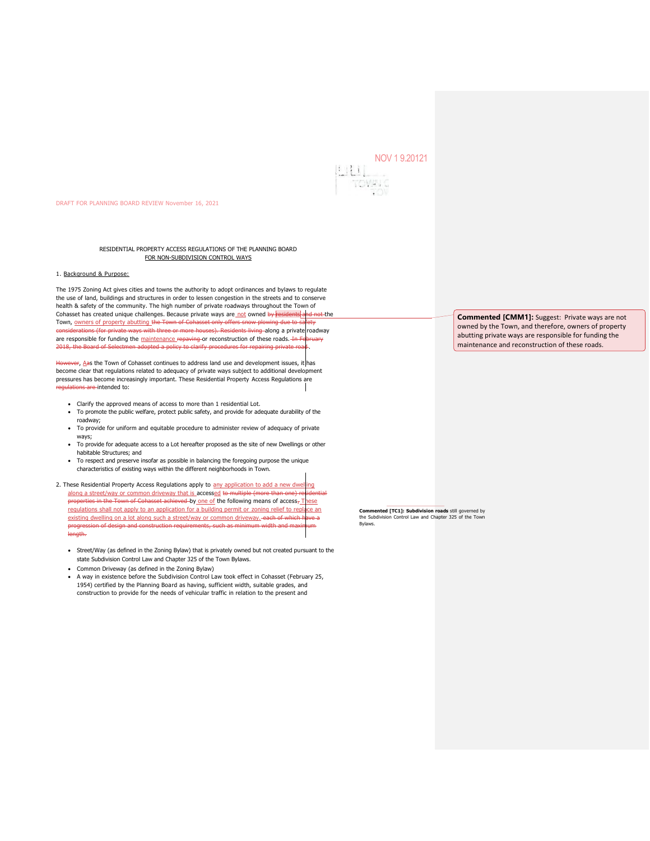# NOV 1 9.20121



#### DRAFT FOR PLANNING BOARD REVIEW November 16, 2021

RESIDENTIAL PROPERTY ACCESS REGULATIONS OF THE PLANNING BOARD FOR NON-SUBDIVISION CONTROL WAYS

#### 1. Background & Purpose:

The 1975 Zoning Act gives cities and towns the authority to adopt ordinances and bylaws to regulate the use of land, buildings and structures in order to lessen congestion in the streets and to conserve health & safety of the community. The high number of private roadways throughout the Town of Cohasset has created unique challenges. Because private ways are not owned by residents and not the Town, owners of property abutting the Town of Cohasset only offers snow plowing due to s with the ways with three or more houses). Residents living along a private roadway are responsible for funding the maintenance repaving or reconstruction of these roads. In F 2018, the Board of Selectmen adopted a policy to clarify procedures for repairing private ro

However, Aas the Town of Cohasset continues to address land use and development issues, it has become clear that regulations related to adequacy of private ways subject to additional development pressures has become increasingly important. These Residential Property Access Regulations are ons are intended to:

- Clarify the approved means of access to more than 1 residential Lot.
- To promote the public welfare, protect public safety, and provide for adequate durability of the roadway;
- To provide for uniform and equitable procedure to administer review of adequacy of private ways;
- To provide for adequate access to a Lot hereafter proposed as the site of new Dwellings or other habitable Structures; and
- To respect and preserve insofar as possible in balancing the foregoing purpose the unique characteristics of existing ways within the different neighborhoods in Town.
- 2. These Residential Property Access Regulations apply to any application to add a new dwelling along a street/way or common driveway that is accessed to multiple (more than properties in the Town of Cohasset achieved by one of the following means of access, These regulations shall not apply to an application for a building permit or zoning relief to replace an existing dwelling on a lot along such a street/way or common driveway. each of which have a progression of design and construction requirements, such as minimum width and maximum length.
	- Street/Way (as defined in the Zoning Bylaw) that is privately owned but not created pursuant to the state Subdivision Control Law and Chapter 325 of the Town Bylaws.
	- Common Driveway (as defined in the Zoning Bylaw)
	- A way in existence before the Subdivision Control Law took effect in Cohasset (February 25, 1954) certified by the Planning Board as having, sufficient width, suitable grades, and construction to provide for the needs of vehicular traffic in relation to the present and

**Commented [CMM1]:** Suggest: Private ways are not owned by the Town, and therefore, owners of property abutting private ways are responsible for funding the maintenance and reconstruction of these roads.

**Commented [TC1]: Subdivision roads** still governed by the Subdivision Control Law and Chapter 325 of the Town Bylaws.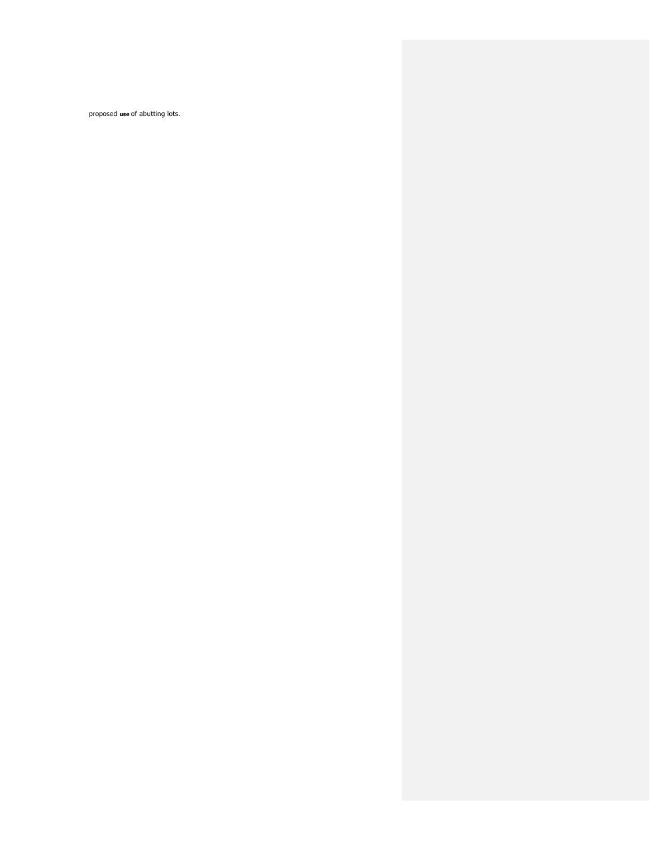proposed **use** of abutting lots.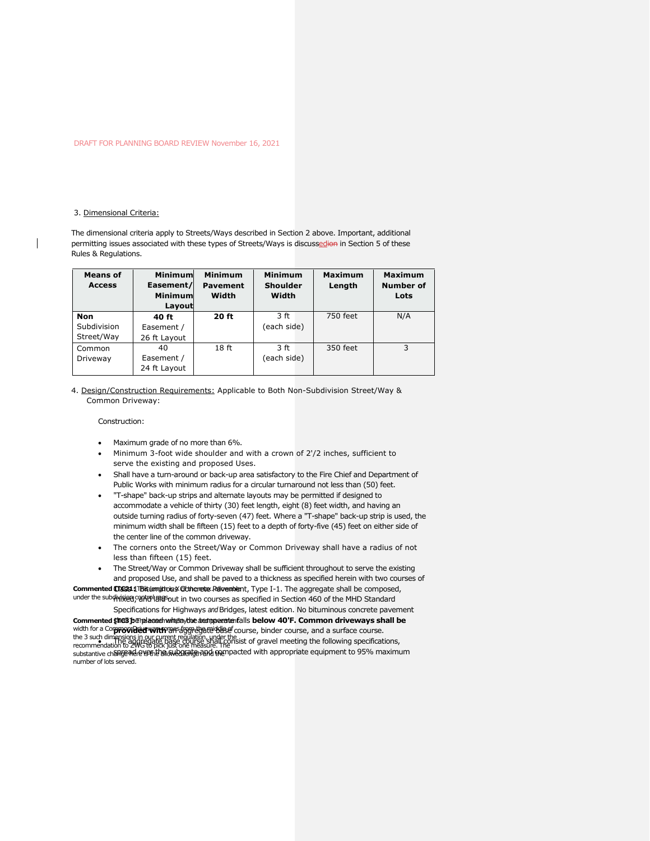#### 3. Dimensional Criteria:

The dimensional criteria apply to Streets/Ways described in Section 2 above. Important, additional permitting issues associated with these types of Streets/Ways is discussedion in Section 5 of these Rules & Regulations.

| <b>Means of</b><br><b>Access</b> | Minimuml<br>Easement/<br>Minimum<br>Layout | <b>Minimum</b><br><b>Pavement</b><br>Width | <b>Minimum</b><br><b>Shoulder</b><br>Width | <b>Maximum</b><br>Length | <b>Maximum</b><br><b>Number of</b><br>Lots |
|----------------------------------|--------------------------------------------|--------------------------------------------|--------------------------------------------|--------------------------|--------------------------------------------|
| <b>Non</b>                       | 40 ft                                      | <b>20 ft</b>                               | 3 ft                                       | 750 feet                 | N/A                                        |
| Subdivision                      | Easement /                                 |                                            | (each side)                                |                          |                                            |
| Street/Way                       | 26 ft Layout                               |                                            |                                            |                          |                                            |
| Common                           | 40                                         | 18 <sub>ft</sub>                           | 3 ft                                       | 350 feet                 | 3                                          |
| Driveway                         | Easement /                                 |                                            | (each side)                                |                          |                                            |
|                                  | 24 ft Layout                               |                                            |                                            |                          |                                            |

4. Design/Construction Requirements: Applicable to Both Non-Subdivision Street/Way & Common Driveway:

Construction:

- Maximum grade of no more than 6%.
- Minimum 3-foot wide shoulder and with a crown of 2'/2 inches, sufficient to serve the existing and proposed Uses.
- Shall have a turn-around or back-up area satisfactory to the Fire Chief and Department of Public Works with minimum radius for a circular turnaround not less than (50) feet.
- "T-shape" back-up strips and alternate layouts may be permitted if designed to accommodate a vehicle of thirty (30) feet length, eight (8) feet width, and having an outside turning radius of forty-seven (47) feet. Where a "T-shape" back-up strip is used, the minimum width shall be fifteen (15) feet to a depth of forty-five (45) feet on either side of the center line of the common driveway.
- The corners onto the Street/Way or Common Driveway shall have a radius of not less than fifteen (15) feet.
- The Street/Way or Common Driveway shall be sufficient throughout to serve the existing and proposed Use, and shall be paved to a thickness as specified herein with two courses of

Commented Clase 1 Bitul mitrous Cothenste Relivenbent, Type I-1. The aggregate shall be composed, under the subdivisied canter langs out in two courses as specified in Section 460 of the MHD Standard

Specifications for Highways *and* Bridges, latest edition. No bituminous concrete pavement Commented **\$MaB penalesed when the asimperate falls below 40'F. Common driveways shall be** width for a Com**providied worth** BAS afgor doated dase course, binder course, and a surface course. the 3 such dimensions in our current regulation, under the<br>recommendation to ZWG to pick just one measure. The the sist of gravel meeting the following specifications,<br>recommendation to ZWG to pick just one measure. The substantive ch<del>angend e yen b m swegen and gai</del>mpacted with appropriate equipment to 95% maximum number of lots served.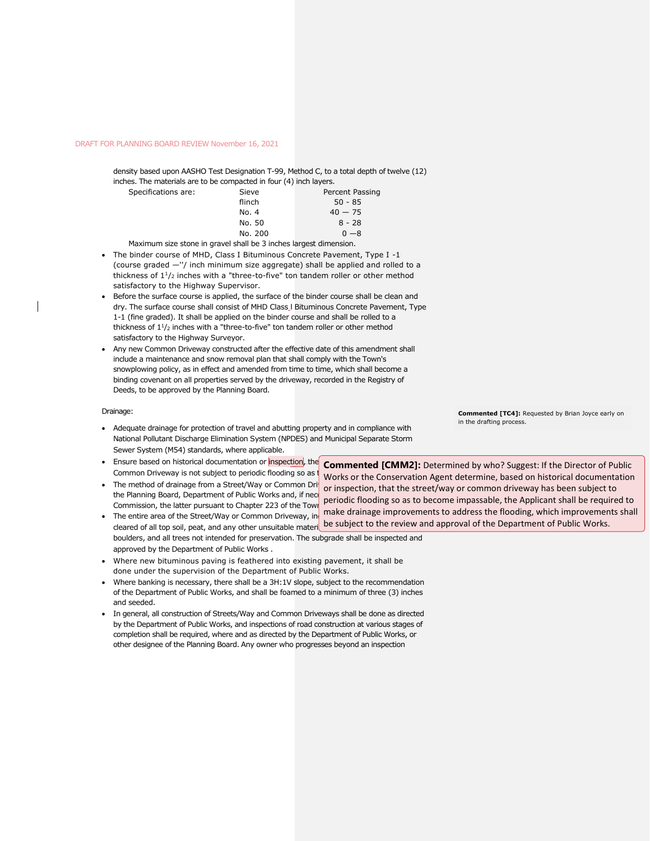density based upon AASHO Test Designation T-99, Method C, to a total depth of twelve (12) inches. The materials are to be compacted in four (4) inch layers.

| Specifications are:                                                                                    | Sieve   | Percent Passing |
|--------------------------------------------------------------------------------------------------------|---------|-----------------|
|                                                                                                        | flinch  | $50 - 85$       |
|                                                                                                        | No. 4   | $40 - 75$       |
|                                                                                                        | No. 50  | $8 - 28$        |
|                                                                                                        | No. 200 | $0 - 8$         |
| Administration of the compact the compact the Literature of the design former at although the contract |         |                 |

Maximum size stone in gravel shall be 3 inches largest dimension.

- The binder course of MHD, Class I Bituminous Concrete Pavement, Type I -1 (course graded —''/ inch minimum size aggregate) shall be applied and rolled to a thickness of  $1\frac{1}{2}$  inches with a "three-to-five" ton tandem roller or other method satisfactory to the Highway Supervisor.
- Before the surface course is applied, the surface of the binder course shall be clean and dry. The surface course shall consist of MHD Class l Bituminous Concrete Pavement, Type 1-1 (fine graded). It shall be applied on the binder course and shall be rolled to a thickness of  $1\frac{1}{2}$  inches with a "three-to-five" ton tandem roller or other method satisfactory to the Highway Surveyor.
- Any new Common Driveway constructed after the effective date of this amendment shall include a maintenance and snow removal plan that shall comply with the Town's snowplowing policy, as in effect and amended from time to time, which shall become a binding covenant on all properties served by the driveway, recorded in the Registry of Deeds, to be approved by the Planning Board.

#### Drainage:

- Adequate drainage for protection of travel and abutting property and in compliance with National Pollutant Discharge Elimination System (NPDES) and Municipal Separate Storm Sewer System (M54) standards, where applicable.
- Ensure based on historical documentation or inspection, the Common Driveway is not subject to periodic flooding so as
- The method of drainage from a Street/Way or Common Dri the Planning Board, Department of Public Works and, if nec Commission, the latter pursuant to Chapter 223 of the Tow
- The entire area of the Street/Way or Common Driveway, in cleared of all top soil, peat, and any other unsuitable materi boulders, and all trees not intended for preservation. The subgrade shall be inspected and approved by the Department of Public Works .
- Where new bituminous paving is feathered into existing pavement, it shall be done under the supervision of the Department of Public Works.
- Where banking is necessary, there shall be a 3H:1V slope, subject to the recommendation of the Department of Public Works, and shall be foamed to a minimum of three (3) inches and seeded.
- In general, all construction of Streets/Way and Common Driveways shall be done as directed by the Department of Public Works, and inspections of road construction at various stages of completion shall be required, where and as directed by the Department of Public Works, or other designee of the Planning Board. Any owner who progresses beyond an inspection

**Commented [TC4]:** Requested by Brian Joyce early on in the drafting process.

**Commented [CMM2]:** Determined by who? Suggest: If the Director of Public Works or the Conservation Agent determine, based on historical documentation or inspection, that the street/way or common driveway has been subject to periodic flooding so as to become impassable, the Applicant shall be required to make drainage improvements to address the flooding, which improvements shall be subject to the review and approval of the Department of Public Works.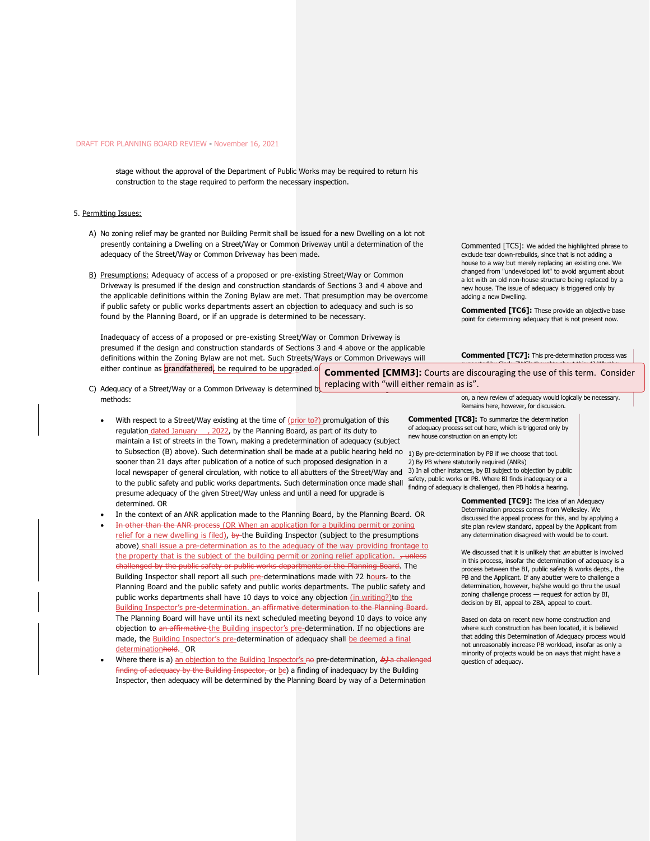stage without the approval of the Department of Public Works may be required to return his construction to the stage required to perform the necessary inspection.

#### 5. Permitting Issues:

- A) No zoning relief may be granted nor Building Permit shall be issued for a new Dwelling on a lot not presently containing a Dwelling on a Street/Way or Common Driveway until a determination of the adequacy of the Street/Way or Common Driveway has been made.
- B) Presumptions: Adequacy of access of a proposed or pre-existing Street/Way or Common Driveway is presumed if the design and construction standards of Sections 3 and 4 above and the applicable definitions within the Zoning Bylaw are met. That presumption may be overcome if public safety or public works departments assert an objection to adequacy and such is so found by the Planning Board, or if an upgrade is determined to be necessary.

Inadequacy of access of a proposed or pre-existing Street/Way or Common Driveway is presumed if the design and construction standards of Sections 3 and 4 above or the applicable definitions within the Zoning Bylaw are not met. Such Streets/Ways or Common Driveways will Commented [TCS]: We added the highlighted phrase to exclude tear down-rebuilds, since that is not adding a house to a way but merely replacing an existing one. We changed from "undeveloped lot" to avoid argument about a lot with an old non-house structure being replaced by a new house. The issue of adequacy is triggered only by adding a new Dwelling.

**Commented [TC6]:** These provide an objective base point for determining adequacy that is not present now.

**Commented [TC7]:** This pre-determination process was suggested by Clark. ZWG's thoughts about this: 1) Whether

either continue as grandfathered, be required to be upgraded of C) Adequacy of a Street/Way or a Common Driveway is determined by methods: **Commented [CMM3]:** Courts are discouraging the use of this term. Consider replacing with "will either remain as is". The good for conditions with the conditions of the conditions of the existing at time. If a new house were added to a way later were added to a way later were added to a way later

- With respect to a Street/Way existing at the time of (prior to?) promulgation of this regulation dated January , 2022, by the Planning Board, as part of its duty to
	- maintain a list of streets in the Town, making a predetermination of adequacy (subject to Subsection (B) above). Such determination shall be made at a public hearing held no sooner than 21 days after publication of a notice of such proposed designation in a local newspaper of general circulation, with notice to all abutters of the Street/Way and to the public safety and public works departments. Such determination once made shall presume adequacy of the given Street/Way unless and until a need for upgrade is determined. OR
- In the context of an ANR application made to the Planning Board, by the Planning Board. OR
- In other than the ANR process (OR When an application for a building permit or zoning relief for a new dwelling is filed), by the Building Inspector (subject to the presumptions above) shall issue a pre-determination as to the adequacy of the way providing frontage to the property that is the subject of the building permit or zoning relief application. , unless challenged by the public safety or public works departments or the Planning Board. The Building Inspector shall report all such pre-determinations made with 72 hours- to the Planning Board and the public safety and public works departments. The public safety and public works departments shall have 10 days to voice any objection (in writing?) to the Building Inspector's pre-determination. an affirmative determination to the Planning Boa The Planning Board will have until its next scheduled meeting beyond 10 days to voice any objection to an affirmative the Building inspector's pre-determination. If no objections are made, the Building Inspector's pre-determination of adequacy shall be deemed a final determinationhold. OR
- Where there is a) an objection to the Building Inspector's no pre-determination, **b)** a challenged finding of adequacy by the Building Inspector, or  $\mathbf{p}\epsilon$ ) a finding of inadequacy by the Building Inspector, then adequacy will be determined by the Planning Board by way of a Determination

on, a new review of adequacy would logically be necessary. Remains here, however, for discussion.

**Commented [TC8]:** To summarize the determination of adequacy process set out here, which is triggered only by new house construction on an empty lot:

1) By pre-determination by PB if we choose that tool. 2) By PB where statutorily required (ANRs) 3) In all other instances, by BI subject to objection by public safety, public works or PB. Where BI finds inadequacy or a finding of adequacy is challenged, then PB holds a hearing.

> **Commented [TC9]:** The idea of an Adequacy Determination process comes from Wellesley. We discussed the appeal process for this, and by applying a site plan review standard, appeal by the Applicant from any determination disagreed with would be to court.

We discussed that it is unlikely that an abutter is involved in this process, insofar the determination of adequacy is a process between the BI, public safety & works depts., the PB and the Applicant. If any abutter were to challenge a determination, however, he/she would go thru the usual zoning challenge process — request for action by BI, decision by BI, appeal to ZBA, appeal to court.

Based on data on recent new home construction and where such construction has been located, it is believed that adding this Determination of Adequacy process would not unreasonably increase PB workload, insofar as only a minority of projects would be on ways that might have a question of adequacy.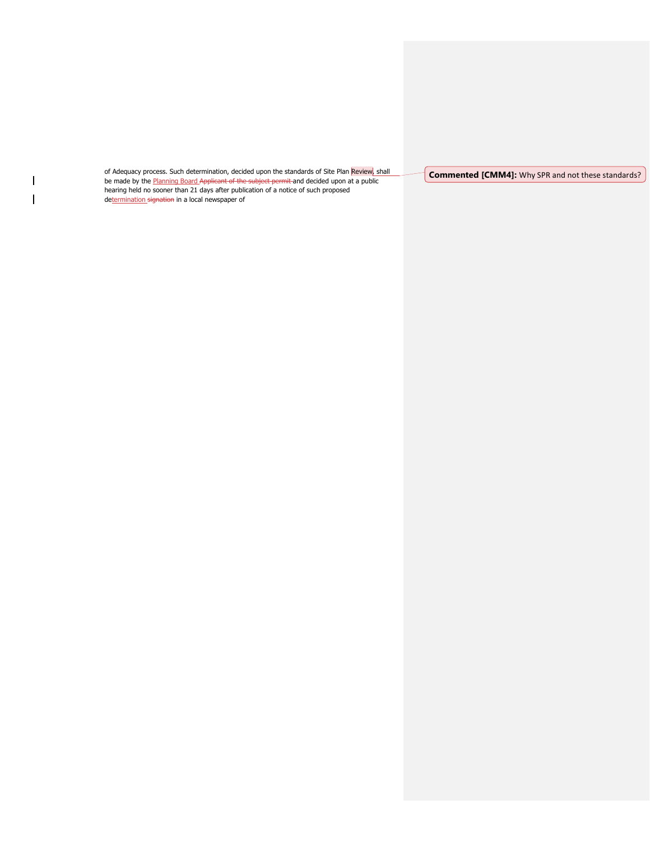of Adequacy process. Such determination, decided upon the standards of Site Plan Review, shall be made by the Planning Board Applicant of the subject permit and decided upon at a public hearing held no sooner than 21 days after publication of a notice of such proposed determination signation in a local newspaper of

 $\vert$  $\overline{1}$ 

**Commented [CMM4]:** Why SPR and not these standards?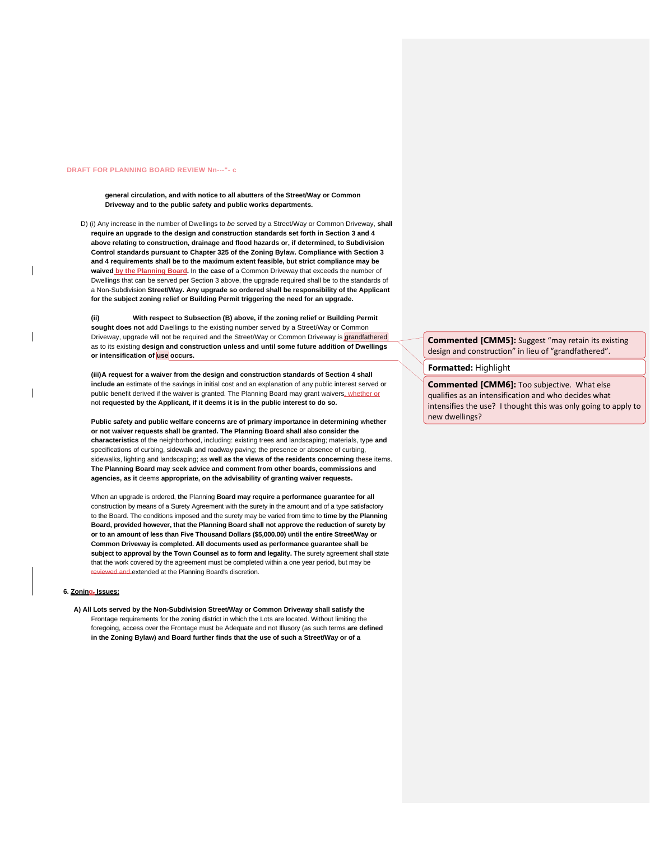#### **DRAFT FOR PLANNING BOARD REVIEW Nn---"- c**

**general circulation, and with notice to all abutters of the Street/Way or Common Driveway and to the public safety and public works departments.**

D) (i) Any increase in the number of Dwellings to *be* served by a Street/Way or Common Driveway, **shall require an upgrade to the design and construction standards set forth in Section 3 and 4 above relating to construction, drainage and flood hazards or, if determined, to Subdivision Control standards pursuant to Chapter 325 of the Zoning Bylaw. Compliance with Section 3 and 4 requirements shall be to the maximum extent feasible, but strict compliance may be waived by the Planning Board.** In **the case of** a Common Driveway that exceeds the number of Dwellings that can be served per Section 3 above, the upgrade required shall be to the standards of a Non-Subdivision **Street/Way. Any upgrade so ordered shall be responsibility of the Applicant for the subject zoning relief or Building Permit triggering the need for an upgrade.**

**(ii) With respect to Subsection (B) above, if the zoning relief or Building Permit sought does not** add Dwellings to the existing number served by a Street/Way or Common Driveway, upgrade will not be required and the Street/Way or Common Driveway is grandfathered as to its existing **design and construction unless and until some future addition of Dwellings or intensification of use occurs.**

**(iii)A request for a waiver from the design and construction standards of Section 4 shall include an** estimate of the savings in initial cost and an explanation of any public interest served or public benefit derived if the waiver is granted. The Planning Board may grant waivers, whether or not **requested by the Applicant, if it deems it is in the public interest to do so.**

**Public safety and public welfare concerns are of primary importance in determining whether or not waiver requests shall be granted. The Planning Board shall also consider the characteristics** of the neighborhood, including: existing trees and landscaping; materials, type **and**  specifications of curbing, sidewalk and roadway paving; the presence or absence of curbing, sidewalks, lighting and landscaping; as **well as the views of the residents concerning** these items. **The Planning Board may seek advice and comment from other boards, commissions and agencies, as it** deems **appropriate, on the advisability of granting waiver requests.**

When an upgrade is ordered, **the** Planning **Board may require a performance guarantee for all**  construction by means of a Surety Agreement with the surety in the amount and of a type satisfactory to the Board. The conditions imposed and the surety may be varied from time to **time by the Planning Board, provided however, that the Planning Board shall not approve the reduction of surety by or to an amount of less than Five Thousand Dollars (\$5,000.00) until the entire Street/Way or Common Driveway is completed. All documents used as performance guarantee shall be subject to approval by the Town Counsel as to form and legality.** The surety agreement shall state that the work covered by the agreement must be completed within a one year period, but may be d and extended at the Planning Board's discretion.

#### **6. Zoning, Issues:**

**A) All Lots served by the Non-Subdivision Street/Way or Common Driveway shall satisfy the**  Frontage requirements for the zoning district in which the Lots are located. Without limiting the foregoing, access over the Frontage must be Adequate and not Illusory (as such terms **are defined in the Zoning Bylaw) and Board further finds that the use of such a Street/Way or of a**

**Commented [CMM5]:** Suggest "may retain its existing design and construction" in lieu of "grandfathered".

# **Formatted:** Highlight

**Commented [CMM6]:** Too subjective. What else qualifies as an intensification and who decides what intensifies the use? I thought this was only going to apply to new dwellings?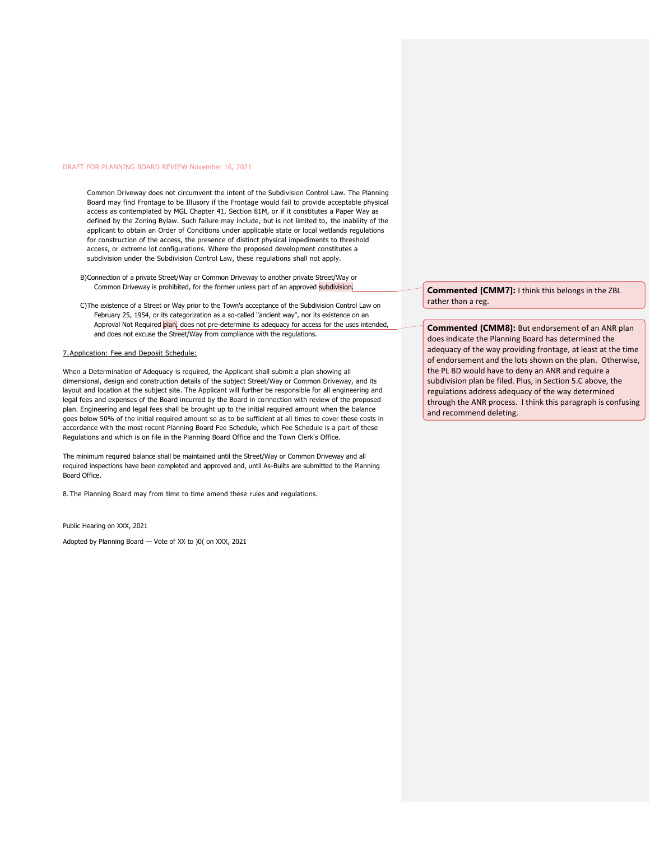Common Driveway does not circumvent the intent of the Subdivision Control Law. The Planning Board may find Frontage to be Illusory if the Frontage would fail to provide acceptable physical access as contemplated by MGL Chapter 41, Section 81M, or if it constitutes a Paper Way as defined by the Zoning Bylaw. Such failure may include, but is not limited to, the inability of the applicant to obtain an Order of Conditions under applicable state or local wetlands regulations for construction of the access, the presence of distinct physical impediments to threshold access, or extreme lot configurations. Where the proposed development constitutes a subdivision under the Subdivision Control Law, these regulations shall not apply.

- B)Connection of a private Street/Way or Common Driveway to another private Street/Way or Common Driveway is prohibited, for the former unless part of an approved subdivision.
- C)The existence of a Street or Way prior to the Town's acceptance of the Subdivision Control Law on February 25, 1954, or its categorization as a so-called "ancient way", nor its existence on an Approval Not Required plan, does not pre-determine its adequacy for access for the uses intended, and does not excuse the Street/Way from compliance with the regulations.

#### 7.Application: Fee and Deposit Schedule:

When a Determination of Adequacy is required, the Applicant shall submit a plan showing all dimensional, design and construction details of the subject Street/Way or Common Driveway, and its layout and location at the subject site. The Applicant will further be responsible for all engineering and legal fees and expenses of the Board incurred by the Board in connection with review of the proposed plan. Engineering and legal fees shall be brought up to the initial required amount when the balance goes below 50% of the initial required amount so as to be sufficient at all times to cover these costs in accordance with the most recent Planning Board Fee Schedule, which Fee Schedule is a part of these Regulations and which is on file in the Planning Board Office and the Town Clerk's Office.

The minimum required balance shall be maintained until the Street/Way or Common Driveway and all required inspections have been completed and approved and, until As-Builts are submitted to the Planning Board Office.

8. The Planning Board may from time to time amend these rules and regulations.

Public Hearing on XXX, 2021

Adopted by Planning Board — Vote of XX to )0( on XXX, 2021

**Commented [CMM7]:** I think this belongs in the ZBL rather than a reg.

**Commented [CMM8]:** But endorsement of an ANR plan does indicate the Planning Board has determined the adequacy of the way providing frontage, at least at the time of endorsement and the lots shown on the plan. Otherwise, the PL BD would have to deny an ANR and require a subdivision plan be filed. Plus, in Section 5.C above, the regulations address adequacy of the way determined through the ANR process. I think this paragraph is confusing and recommend deleting.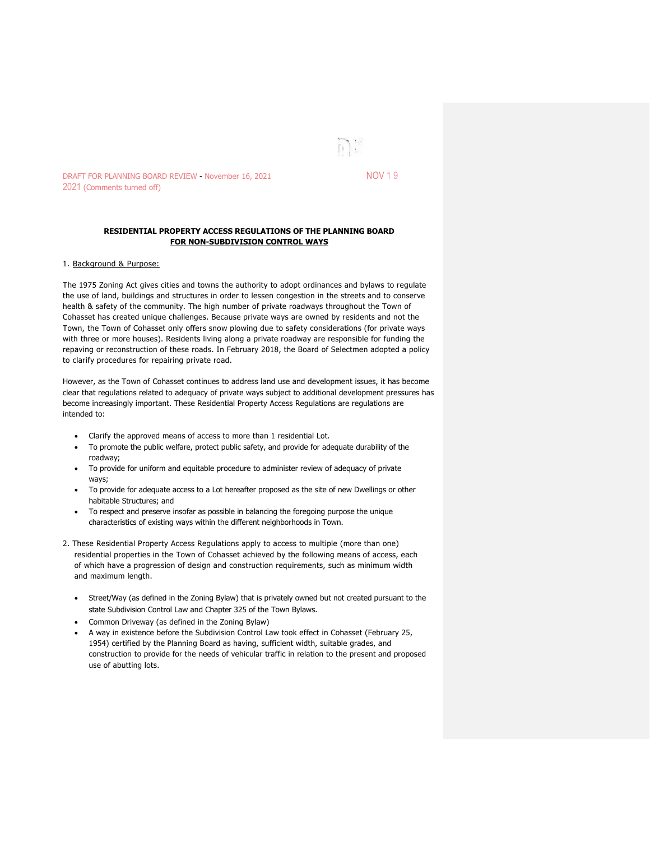

DRAFT FOR PLANNING BOARD REVIEW - November 16, 2021 NOV 1 9 2021 (Comments turned off)

# **RESIDENTIAL PROPERTY ACCESS REGULATIONS OF THE PLANNING BOARD FOR NON-SUBDIVISION CONTROL WAYS**

# 1. Background & Purpose:

The 1975 Zoning Act gives cities and towns the authority to adopt ordinances and bylaws to regulate the use of land, buildings and structures in order to lessen congestion in the streets and to conserve health & safety of the community. The high number of private roadways throughout the Town of Cohasset has created unique challenges. Because private ways are owned by residents and not the Town, the Town of Cohasset only offers snow plowing due to safety considerations (for private ways with three or more houses). Residents living along a private roadway are responsible for funding the repaving or reconstruction of these roads. In February 2018, the Board of Selectmen adopted a policy to clarify procedures for repairing private road.

However, as the Town of Cohasset continues to address land use and development issues, it has become clear that regulations related to adequacy of private ways subject to additional development pressures has become increasingly important. These Residential Property Access Regulations are regulations are intended to:

- Clarify the approved means of access to more than 1 residential Lot.
- To promote the public welfare, protect public safety, and provide for adequate durability of the roadway;
- To provide for uniform and equitable procedure to administer review of adequacy of private ways;
- To provide for adequate access to a Lot hereafter proposed as the site of new Dwellings or other habitable Structures; and
- To respect and preserve insofar as possible in balancing the foregoing purpose the unique characteristics of existing ways within the different neighborhoods in Town.
- 2. These Residential Property Access Regulations apply to access to multiple (more than one) residential properties in the Town of Cohasset achieved by the following means of access, each of which have a progression of design and construction requirements, such as minimum width and maximum length.
	- Street/Way (as defined in the Zoning Bylaw) that is privately owned but not created pursuant to the state Subdivision Control Law and Chapter 325 of the Town Bylaws.
	- Common Driveway (as defined in the Zoning Bylaw)
	- A way in existence before the Subdivision Control Law took effect in Cohasset (February 25, 1954) certified by the Planning Board as having, sufficient width, suitable grades, and construction to provide for the needs of vehicular traffic in relation to the present and proposed use of abutting lots.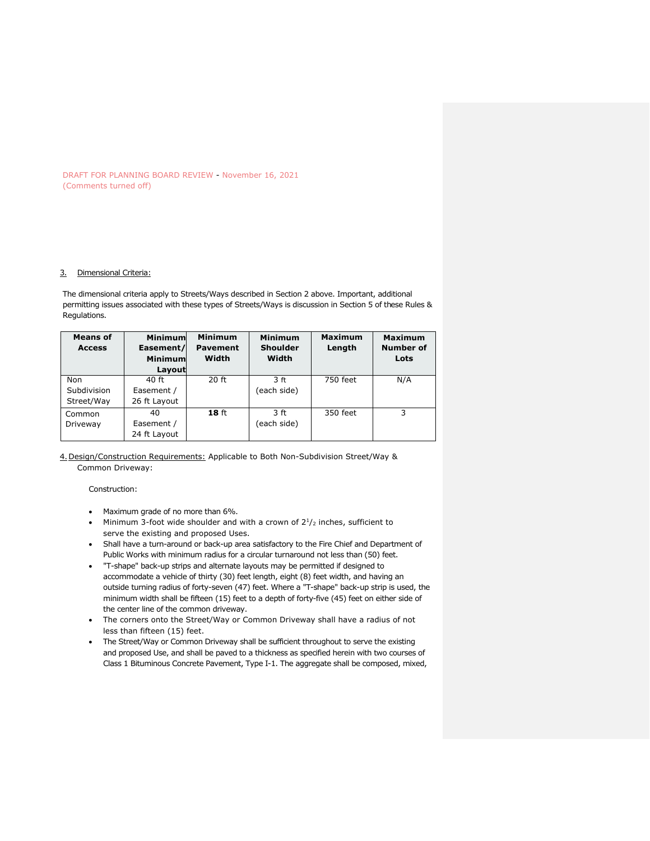DRAFT FOR PLANNING BOARD REVIEW - November 16, 2021 (Comments turned off)

#### 3. Dimensional Criteria:

The dimensional criteria apply to Streets/Ways described in Section 2 above. Important, additional permitting issues associated with these types of Streets/Ways is discussion in Section 5 of these Rules & Regulations.

| <b>Means of</b><br><b>Access</b> | <b>Minimum</b><br>Easement/<br><b>Minimum</b><br>Layout | <b>Minimum</b><br><b>Pavement</b><br>Width | <b>Minimum</b><br><b>Shoulder</b><br>Width | <b>Maximum</b><br>Length | <b>Maximum</b><br>Number of<br>Lots |
|----------------------------------|---------------------------------------------------------|--------------------------------------------|--------------------------------------------|--------------------------|-------------------------------------|
| Non                              | 40 ft                                                   | 20 ft                                      | 3 ft                                       | 750 feet                 | N/A                                 |
| Subdivision                      | Easement /                                              |                                            | (each side)                                |                          |                                     |
| Street/Way                       | 26 ft Layout                                            |                                            |                                            |                          |                                     |
| Common                           | 40                                                      | 18 <sub>ft</sub>                           | 3 ft                                       | 350 feet                 | 3                                   |
| Driveway                         | Easement /                                              |                                            | (each side)                                |                          |                                     |
|                                  | 24 ft Layout                                            |                                            |                                            |                          |                                     |

# 4.Design/Construction Requirements: Applicable to Both Non-Subdivision Street/Way & Common Driveway:

Construction:

- Maximum grade of no more than 6%.
- Minimum 3-foot wide shoulder and with a crown of  $2^{1}/_{2}$  inches, sufficient to serve the existing and proposed Uses.
- Shall have a turn-around or back-up area satisfactory to the Fire Chief and Department of Public Works with minimum radius for a circular turnaround not less than (50) feet.
- "T-shape" back-up strips and alternate layouts may be permitted if designed to accommodate a vehicle of thirty (30) feet length, eight (8) feet width, and having an outside turning radius of forty-seven (47) feet. Where a "T-shape" back-up strip is used, the minimum width shall be fifteen (15) feet to a depth of forty-five (45) feet on either side of the center line of the common driveway.
- The corners onto the Street/Way or Common Driveway shall have a radius of not less than fifteen (15) feet.
- The Street/Way or Common Driveway shall be sufficient throughout to serve the existing and proposed Use, and shall be paved to a thickness as specified herein with two courses of Class 1 Bituminous Concrete Pavement, Type I-1. The aggregate shall be composed, mixed,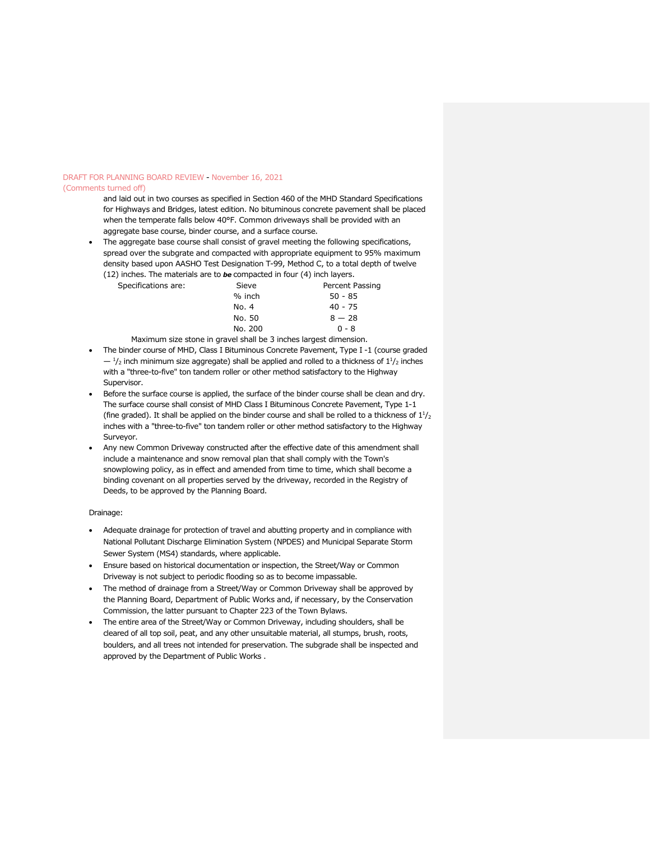#### (Comments turned off)

and laid out in two courses as specified in Section 460 of the MHD Standard Specifications for Highways and Bridges, latest edition. No bituminous concrete pavement shall be placed when the temperate falls below 40°F. Common driveways shall be provided with an aggregate base course, binder course, and a surface course.

The aggregate base course shall consist of gravel meeting the following specifications, spread over the subgrate and compacted with appropriate equipment to 95% maximum density based upon AASHO Test Designation T-99, Method C, to a total depth of twelve (12) inches. The materials are to *be* compacted in four (4) inch layers.

|                     | $\mu$ increase the materials are to be compacted in roar ( i) increases. |       |                 |
|---------------------|--------------------------------------------------------------------------|-------|-----------------|
| Specifications are: |                                                                          | Sieve | Percent Passing |

| <b>Sieve</b> | Percent Pass |
|--------------|--------------|
| % inch       | $50 - 85$    |
| No. 4        | $40 - 75$    |
| No. 50       | $8 - 28$     |
| No. 200      | $0 - 8$      |
|              |              |

Maximum size stone in gravel shall be 3 inches largest dimension.

- The binder course of MHD, Class I Bituminous Concrete Pavement, Type I-1 (course graded  $-1$ /<sub>2</sub> inch minimum size aggregate) shall be applied and rolled to a thickness of  $1<sup>1</sup>/2$  inches with a "three-to-five" ton tandem roller or other method satisfactory to the Highway Supervisor.
- Before the surface course is applied, the surface of the binder course shall be clean and dry. The surface course shall consist of MHD Class I Bituminous Concrete Pavement, Type 1-1 (fine graded). It shall be applied on the binder course and shall be rolled to a thickness of  $1<sup>1</sup>/2$ inches with a "three-to-five" ton tandem roller or other method satisfactory to the Highway Surveyor.
- Any new Common Driveway constructed after the effective date of this amendment shall include a maintenance and snow removal plan that shall comply with the Town's snowplowing policy, as in effect and amended from time to time, which shall become a binding covenant on all properties served by the driveway, recorded in the Registry of Deeds, to be approved by the Planning Board.

### Drainage:

- Adequate drainage for protection of travel and abutting property and in compliance with National Pollutant Discharge Elimination System (NPDES) and Municipal Separate Storm Sewer System (MS4) standards, where applicable.
- Ensure based on historical documentation or inspection, the Street/Way or Common Driveway is not subject to periodic flooding so as to become impassable.
- The method of drainage from a Street/Way or Common Driveway shall be approved by the Planning Board, Department of Public Works and, if necessary, by the Conservation Commission, the latter pursuant to Chapter 223 of the Town Bylaws.
- The entire area of the Street/Way or Common Driveway, including shoulders, shall be cleared of all top soil, peat, and any other unsuitable material, all stumps, brush, roots, boulders, and all trees not intended for preservation. The subgrade shall be inspected and approved by the Department of Public Works .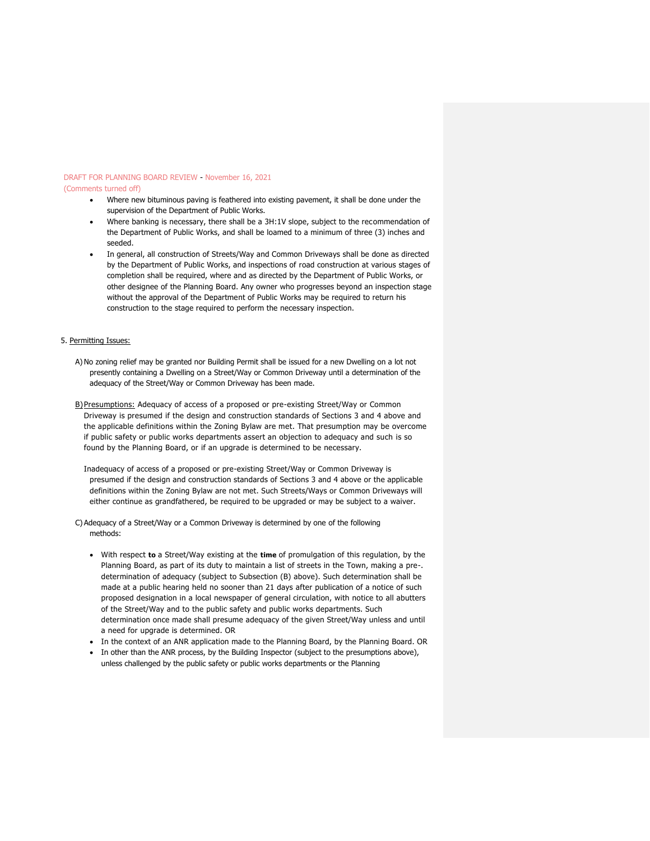(Comments turned off)

- Where new bituminous paving is feathered into existing pavement, it shall be done under the supervision of the Department of Public Works.
- Where banking is necessary, there shall be a 3H:1V slope, subject to the recommendation of the Department of Public Works, and shall be loamed to a minimum of three (3) inches and seeded.
- In general, all construction of Streets/Way and Common Driveways shall be done as directed by the Department of Public Works, and inspections of road construction at various stages of completion shall be required, where and as directed by the Department of Public Works, or other designee of the Planning Board. Any owner who progresses beyond an inspection stage without the approval of the Department of Public Works may be required to return his construction to the stage required to perform the necessary inspection.

# 5. Permitting Issues:

- A)No zoning relief may be granted nor Building Permit shall be issued for a new Dwelling on a lot not presently containing a Dwelling on a Street/Way or Common Driveway until a determination of the adequacy of the Street/Way or Common Driveway has been made.
- B)Presumptions: Adequacy of access of a proposed or pre-existing Street/Way or Common Driveway is presumed if the design and construction standards of Sections 3 and 4 above and the applicable definitions within the Zoning Bylaw are met. That presumption may be overcome if public safety or public works departments assert an objection to adequacy and such is so found by the Planning Board, or if an upgrade is determined to be necessary.
	- Inadequacy of access of a proposed or pre-existing Street/Way or Common Driveway is presumed if the design and construction standards of Sections 3 and 4 above or the applicable definitions within the Zoning Bylaw are not met. Such Streets/Ways or Common Driveways will either continue as grandfathered, be required to be upgraded or may be subject to a waiver.

C) Adequacy of a Street/Way or a Common Driveway is determined by one of the following methods:

- With respect **to** a Street/Way existing at the **time** of promulgation of this regulation, by the Planning Board, as part of its duty to maintain a list of streets in the Town, making a pre-. determination of adequacy (subject to Subsection (B) above). Such determination shall be made at a public hearing held no sooner than 21 days after publication of a notice of such proposed designation in a local newspaper of general circulation, with notice to all abutters of the Street/Way and to the public safety and public works departments. Such determination once made shall presume adequacy of the given Street/Way unless and until a need for upgrade is determined. OR
- In the context of an ANR application made to the Planning Board, by the Planning Board. OR
- In other than the ANR process, by the Building Inspector (subject to the presumptions above), unless challenged by the public safety or public works departments or the Planning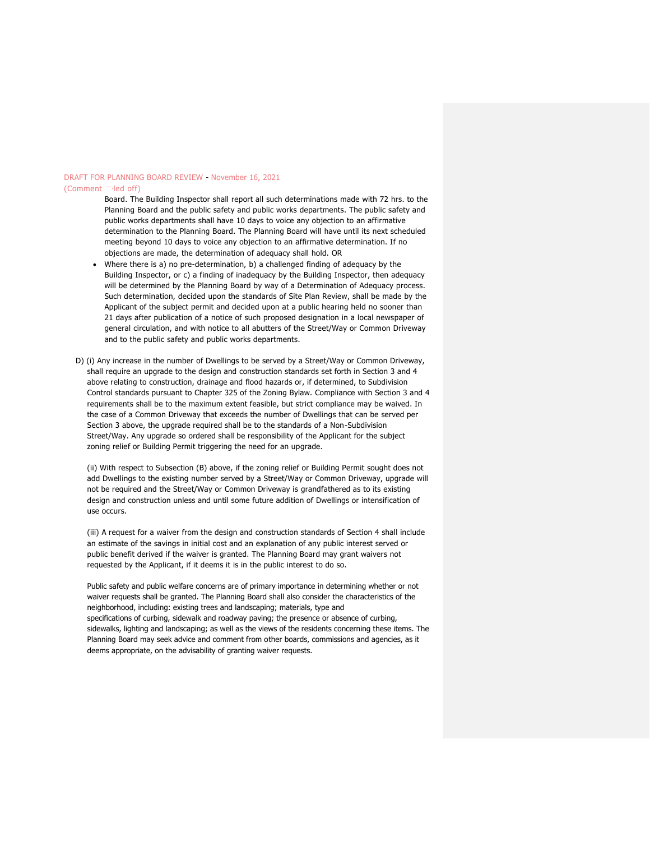# DRAFT FOR PLANNING BOARD REVIEW - November 16, 2021 (Comment "<sup>--</sup>led off)

Board. The Building Inspector shall report all such determinations made with 72 hrs. to the Planning Board and the public safety and public works departments. The public safety and public works departments shall have 10 days to voice any objection to an affirmative determination to the Planning Board. The Planning Board will have until its next scheduled meeting beyond 10 days to voice any objection to an affirmative determination. If no objections are made, the determination of adequacy shall hold. OR

- Where there is a) no pre-determination, b) a challenged finding of adequacy by the Building Inspector, or c) a finding of inadequacy by the Building Inspector, then adequacy will be determined by the Planning Board by way of a Determination of Adequacy process. Such determination, decided upon the standards of Site Plan Review, shall be made by the Applicant of the subject permit and decided upon at a public hearing held no sooner than 21 days after publication of a notice of such proposed designation in a local newspaper of general circulation, and with notice to all abutters of the Street/Way or Common Driveway and to the public safety and public works departments.
- D) (i) Any increase in the number of Dwellings to be served by a Street/Way or Common Driveway, shall require an upgrade to the design and construction standards set forth in Section 3 and 4 above relating to construction, drainage and flood hazards or, if determined, to Subdivision Control standards pursuant to Chapter 325 of the Zoning Bylaw. Compliance with Section 3 and 4 requirements shall be to the maximum extent feasible, but strict compliance may be waived. In the case of a Common Driveway that exceeds the number of Dwellings that can be served per Section 3 above, the upgrade required shall be to the standards of a Non-Subdivision Street/Way. Any upgrade so ordered shall be responsibility of the Applicant for the subject zoning relief or Building Permit triggering the need for an upgrade.

(ii) With respect to Subsection (B) above, if the zoning relief or Building Permit sought does not add Dwellings to the existing number served by a Street/Way or Common Driveway, upgrade will not be required and the Street/Way or Common Driveway is grandfathered as to its existing design and construction unless and until some future addition of Dwellings or intensification of use occurs.

(iii) A request for a waiver from the design and construction standards of Section 4 shall include an estimate of the savings in initial cost and an explanation of any public interest served or public benefit derived if the waiver is granted. The Planning Board may grant waivers not requested by the Applicant, if it deems it is in the public interest to do so.

Public safety and public welfare concerns are of primary importance in determining whether or not waiver requests shall be granted. The Planning Board shall also consider the characteristics of the neighborhood, including: existing trees and landscaping; materials, type and specifications of curbing, sidewalk and roadway paving; the presence or absence of curbing, sidewalks, lighting and landscaping; as well as the views of the residents concerning these items. The Planning Board may seek advice and comment from other boards, commissions and agencies, as it deems appropriate, on the advisability of granting waiver requests.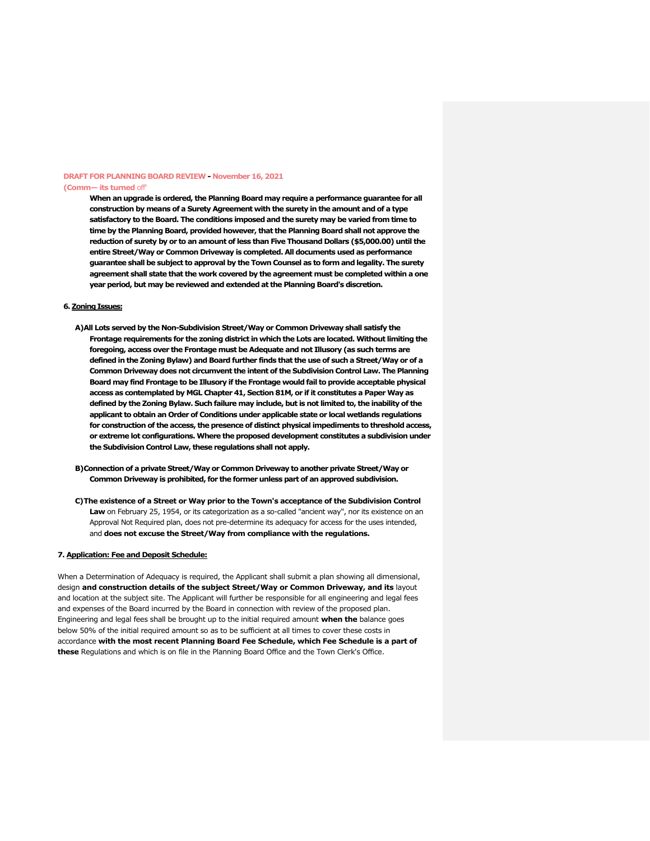#### **DRAFT FOR PLANNING BOARD REVIEW - November 16, 2021 (Comm— its turned** off'

**When an upgrade is ordered, the Planning Board may require a performance guarantee for all construction by means of a Surety Agreement with the surety in the amount and of a type satisfactory to the Board. The conditions imposed and the surety may be varied from time to time by the Planning Board, provided however, that the Planning Board shall not approve the reduction of surety by or to an amount of less than Five Thousand Dollars (\$5,000.00) until the entire Street/Way or Common Driveway is completed. All documents used as performance guarantee shall be subject to approval by the Town Counsel as to form and legality. The surety agreement shall state that the work covered by the agreement must be completed within a one year period, but may be reviewed and extended at the Planning Board's discretion.**

# **6. Zoning Issues:**

- **A)All Lots served by the Non-Subdivision Street/Way or Common Driveway shall satisfy the Frontage requirements for the zoning district in which the Lots are located. Without limiting the foregoing, access over the Frontage must be Adequate and not Illusory (as such terms are defined in the Zoning Bylaw) and Board further finds that the use of such a Street/Way or of a Common Driveway does not circumvent the intent of the Subdivision Control Law. The Planning Board may find Frontage to be Illusory if the Frontage would fail to provide acceptable physical access as contemplated by MGL Chapter 41, Section 81M, or if it constitutes a Paper Way as defined by the Zoning Bylaw. Such failure may include, but is not limited to, the inability of the applicant to obtain an Order of Conditions under applicable state or local wetlands regulations for construction of the access, the presence of distinct physical impediments to threshold access, or extreme lot configurations. Where the proposed development constitutes a subdivision under the Subdivision Control Law, these regulations shall not apply.**
- **B)Connection of a private Street/Way or Common Driveway to another private Street/Way or Common Driveway is prohibited, for the former unless part of an approved subdivision.**
- **C)The existence of a Street or Way prior to the Town's acceptance of the Subdivision Control Law** on February 25, 1954, or its categorization as a so-called "ancient way", nor its existence on an Approval Not Required plan, does not pre-determine its adequacy for access for the uses intended, and **does not excuse the Street/Way from compliance with the regulations.**

#### **7. Application: Fee and Deposit Schedule:**

When a Determination of Adequacy is required, the Applicant shall submit a plan showing all dimensional, design **and construction details of the subject Street/Way or Common Driveway, and its** layout and location at the subject site. The Applicant will further be responsible for all engineering and legal fees and expenses of the Board incurred by the Board in connection with review of the proposed plan. Engineering and legal fees shall be brought up to the initial required amount **when the** balance goes below 50% of the initial required amount so as to be sufficient at all times to cover these costs in accordance **with the most recent Planning Board Fee Schedule, which Fee Schedule is a part of these** Regulations and which is on file in the Planning Board Office and the Town Clerk's Office.